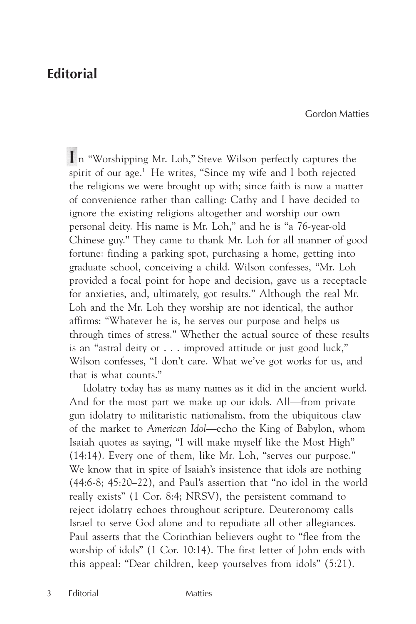## **Editorial**

Gordon Matties

 **I** n "Worshipping Mr. Loh," Steve Wilson perfectly captures the spirit of our age.<sup>1</sup> He writes, "Since my wife and I both rejected the religions we were brought up with; since faith is now a matter of convenience rather than calling: Cathy and I have decided to ignore the existing religions altogether and worship our own personal deity. His name is Mr. Loh," and he is "a 76-year-old Chinese guy." They came to thank Mr. Loh for all manner of good fortune: finding a parking spot, purchasing a home, getting into graduate school, conceiving a child. Wilson confesses, "Mr. Loh provided a focal point for hope and decision, gave us a receptacle for anxieties, and, ultimately, got results." Although the real Mr. Loh and the Mr. Loh they worship are not identical, the author affirms: "Whatever he is, he serves our purpose and helps us through times of stress." Whether the actual source of these results is an "astral deity or . . . improved attitude or just good luck," Wilson confesses, "I don't care. What we've got works for us, and that is what counts."

Idolatry today has as many names as it did in the ancient world. And for the most part we make up our idols. All—from private gun idolatry to militaristic nationalism, from the ubiquitous claw of the market to *American Idol*—echo the King of Babylon, whom Isaiah quotes as saying, "I will make myself like the Most High" (14:14). Every one of them, like Mr. Loh, "serves our purpose." We know that in spite of Isaiah's insistence that idols are nothing (44:6-8; 45:20–22), and Paul's assertion that "no idol in the world really exists" (1 Cor. 8:4; NRSV), the persistent command to reject idolatry echoes throughout scripture. Deuteronomy calls Israel to serve God alone and to repudiate all other allegiances. Paul asserts that the Corinthian believers ought to "flee from the worship of idols" (1 Cor. 10:14). The first letter of John ends with this appeal: "Dear children, keep yourselves from idols" (5:21).